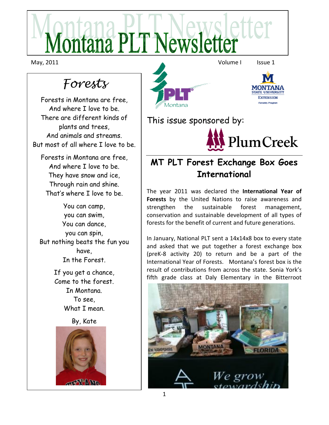Montana PLT Newsletter

May, 2011 **Volume I** Issue 1

# *Forests*

Forests in Montana are free, And where I love to be. There are different kinds of plants and trees, And animals and streams. But most of all where I love to be.

Forests in Montana are free, And where I love to be. They have snow and ice, Through rain and shine. That's where I love to be.

You can camp, you can swim, You can dance, you can spin, But nothing beats the fun you have, In the Forest.

> If you get a chance, Come to the forest. In Montana. To see, What I mean.

> > By, Kate



MONTANA **TATE UNIVERSIT EXTENSION Forestry Program** Montana This issue sponsored by: PlumCreek

## **MT PLT Forest Exchange Box Goes International**

The year 2011 was declared the **International Year of Forests** by the United Nations to raise awareness and strengthen the sustainable forest management, conservation and sustainable development of all types of forests for the benefit of current and future generations.

In January, National PLT sent a 14x14x8 box to every state and asked that we put together a forest exchange box (preK-8 activity 20) to return and be a part of the International Year of Forests. Montana's forest box is the result of contributions from across the state. Sonia York's fifth grade class at Daly Elementary in the Bitterroot

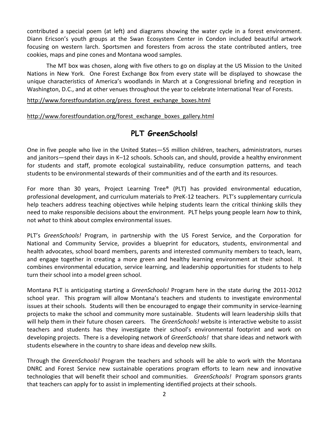contributed a special poem (at left) and diagrams showing the water cycle in a forest environment. Diann Ericson's youth groups at the Swan Ecosystem Center in Condon included beautiful artwork focusing on western larch. Sportsmen and foresters from across the state contributed antlers, tree cookies, maps and pine cones and Montana wood samples.

The MT box was chosen, along with five others to go on display at the US Mission to the United Nations in New York. One Forest Exchange Box from every state will be displayed to showcase the unique characteristics of America's woodlands in March at a Congressional briefing and reception in Washington, D.C., and at other venues throughout the year to celebrate International Year of Forests.

[http://www.forestfoundation.org/press\\_forest\\_exchange\\_boxes.html](http://www.forestfoundation.org/press_forest_exchange_boxes.html)

[http://www.forestfoundation.org/forest\\_exchange\\_boxes\\_gallery.html](http://www.forestfoundation.org/forest_exchange_boxes_gallery.html)

#### **PLT GreenSchools!**

One in five people who live in the United States—55 million children, teachers, administrators, nurses and janitors—spend their days in K–12 schools. Schools can, and should, provide a healthy environment for students and staff, promote ecological sustainability, reduce consumption patterns, and teach students to be environmental stewards of their communities and of the earth and its resources.

For more than 30 years, Project Learning Tree® (PLT) has provided environmental education, professional development, and curriculum materials to PreK-12 teachers. PLT's supplementary curricula help teachers address teaching objectives while helping students learn the critical thinking skills they need to make responsible decisions about the environment. PLT helps young people learn *how* to think, not *what* to think about complex environmental issues.

PLT's *GreenSchools!* Program, in partnership with the US Forest Service, and the Corporation for National and Community Service, provides a blueprint for educators, students, environmental and health advocates, school board members, parents and interested community members to teach, learn, and engage together in creating a more green and healthy learning environment at their school. It combines environmental education, service learning, and leadership opportunities for students to help turn their school into a model green school.

Montana PLT is anticipating starting a *GreenSchools!* Program here in the state during the 2011-2012 school year. This program will allow Montana's teachers and students to investigate environmental issues at their schools. Students will then be encouraged to engage their community in service-learning projects to make the school and community more sustainable. Students will learn leadership skills that will help them in their future chosen careers. The *GreenSchools!* website is interactive website to assist teachers and students has they investigate their school's environmental footprint and work on developing projects. There is a developing network of *GreenSchools!* that share ideas and network with students elsewhere in the country to share ideas and develop new skills.

Through the *GreenSchools!* Program the teachers and schools will be able to work with the Montana DNRC and Forest Service new sustainable operations program efforts to learn new and innovative technologies that will benefit their school and communities. *GreenSchools!* Program sponsors grants that teachers can apply for to assist in implementing identified projects at their schools.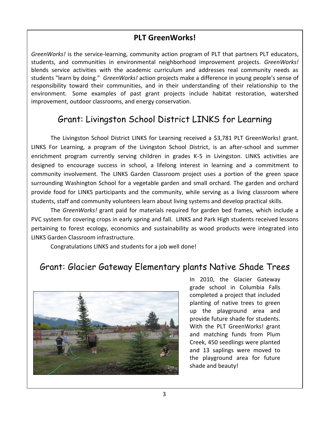#### **PLT GreenWorks!**

*GreenWorks!* is the service-learning, community action program of PLT that partners PLT educators, students, and communities in environmental neighborhood improvement projects. *GreenWorks!* blends service activities with the academic curriculum and addresses real community needs as students "learn by doing." *GreenWorks!* action projects make a difference in young people's sense of responsibility toward their communities, and in their understanding of their relationship to the environment. Some examples of past grant projects include habitat restoration, watershed improvement, outdoor classrooms, and energy conservation.

### Grant: Livingston School District LINKS for Learning

The Livingston School District LINKS for Learning received a \$3,781 PLT GreenWorks! grant. LINKS For Learning, a program of the Livingston School District, is an after-school and summer enrichment program currently serving children in grades K-5 in Livingston. LINKS activities are designed to encourage success in school, a lifelong interest in learning and a commitment to community involvement. The LINKS Garden Classroom project uses a portion of the green space surrounding Washington School for a vegetable garden and small orchard. The garden and orchard provide food for LINKS participants and the community, while serving as a living classroom where students, staff and community volunteers learn about living systems and develop practical skills.

The *GreenWorks!* grant paid for materials required for garden bed frames, which include a PVC system for covering crops in early spring and fall. LINKS and Park High students received lessons pertaining to forest ecology, economics and sustainability as wood products were integrated into LINKS Garden Classroom infrastructure.

Congratulations LINKS and students for a job well done!

### Grant: Glacier Gateway Elementary plants Native Shade Trees



In 2010, the Glacier Gateway grade school in Columbia Falls completed a project that included planting of native trees to green up the playground area and provide future shade for students. With the PLT GreenWorks! grant and matching funds from Plum Creek, 450 seedlings were planted and 13 saplings were moved to the playground area for future shade and beauty!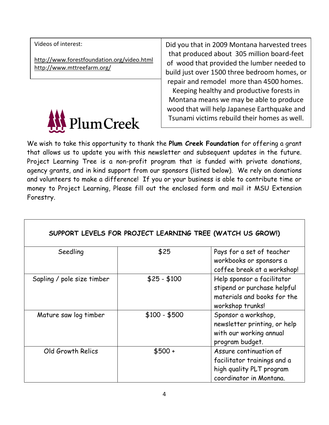Videos of interest:

<http://www.forestfoundation.org/video.html> <http://www.mttreefarm.org/>



Did you that in 2009 Montana harvested trees that produced about 305 million board-feet of wood that provided the lumber needed to build just over 1500 three bedroom homes, or repair and remodel more than 4500 homes. Keeping healthy and productive forests in Montana means we may be able to produce wood that will help Japanese Earthquake and Tsunami victims rebuild their homes as well.

We wish to take this opportunity to thank the **Plum Creek Foundation** for offering a grant that allows us to update you with this newsletter and subsequent updates in the future. Project Learning Tree is a non-profit program that is funded with private donations, agency grants, and in kind support from our sponsors (listed below). We rely on donations and volunteers to make a difference! If you or your business is able to contribute time or money to Project Learning, Please fill out the enclosed form and mail it MSU Extension Forestry.

|                            |               | SUPPORT LEVELS FOR PROJECT LEARNING TREE (WATCH US GROW!)                                                    |
|----------------------------|---------------|--------------------------------------------------------------------------------------------------------------|
| Seedling                   | \$25          | Pays for a set of teacher<br>workbooks or sponsors a<br>coffee break at a workshop!                          |
| Sapling / pole size timber | $$25 - $100$  | Help sponsor a facilitator<br>stipend or purchase helpful<br>materials and books for the<br>workshop trunks! |
| Mature saw log timber      | $$100 - $500$ | Sponsor a workshop,<br>newsletter printing, or help<br>with our working annual<br>program budget.            |
| Old Growth Relics          | $$500 +$      | Assure continuation of<br>facilitator trainings and a<br>high quality PLT program<br>coordinator in Montana. |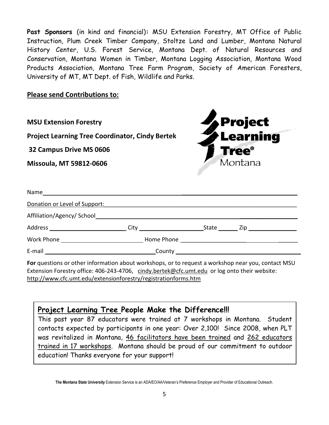**Past Sponsors** (in kind and financial)**:** MSU Extension Forestry, MT Office of Public Instruction, Plum Creek Timber Company, Stoltze Land and Lumber, Montana Natural History Center, U.S. Forest Service, Montana Dept. of Natural Resources and Conservation, Montana Women in Timber, Montana Logging Association, Montana Wood Products Association, Montana Tree Farm Program, Society of American Foresters, University of MT, MT Dept. of Fish, Wildlife and Parks.

**Please send Contributions to:**



**For** questions or other information about workshops, or to request a workshop near you, contact MSU Extension Forestry office: 406-243-4706, [cindy.bertek@cfc.umt.edu](mailto:cindy.bertek@cfc.umt.edu) or log onto their website: <http://www.cfc.umt.edu/extensionforestry/registrationforms.htm>

**Project Learning Tree People Make the Difference!!!** 

This past year 87 educators were trained at 7 workshops in Montana. Student contacts expected by participants in one year: Over 2,100! Since 2008, when PLT was revitalized in Montana, 46 facilitators have been trained and 262 educators trained in 17 workshops. Montana should be proud of our commitment to outdoor education! Thanks everyone for your support!